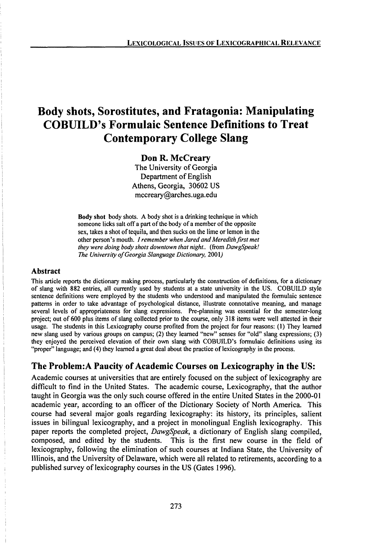# **Body shots, Sorostitutes, and Fratagonia: Manipulating COBUILD's Formulaic Sentence Definitions to Treat Contemporary College Slang**

#### Don R. McCreary

The University of Georgia Department of English Athens, Georgia, 30602 US mccreary@arches.uga.edu

**Body shot** body shots. A body shot is a drinking technique in which someone licks salt off a part of the body of a member of the opposite sex, takes a shot of tequila, and then sucks on the lime or lemon in the other person's mouth. /*remember when Jared andMeredithfirst met they were doing body shots downtown that night..* (from *DawgSpeak! The University of Georgia Slanguage Dictionary, 2001)* 

#### **Abstract**

This article reports the dictionary making process, particularly the construction of definitions, for a dictionary of slang with 882 entries, all currently used by students at a state university in the US. COBUILD style sentence definitions were employed by the students who understood and manipulated the formulaic sentence patterns in order to take advantage of psychological distance, illustrate connotative meaning, and manage several levels of appropriateness for slang expressions. Pre-planning was essential for the semester-long project; out of 600 plus items of slang collected prior to the course, only 318 items were well attested in their usage. The students in this Lexicography course profited from the project for four reasons: (1) They learned new slang used by various groups on campus; (2) they learned "new" senses for "old" slang expressions; (3) they enjoyed the perceived elevation of their own slang with COBUILD's formulaic definitions using its "proper" language; and (4) they learned a great deal about the practice of lexicography in the process.

## **The Problem: A Paucity of Academic Courses on Lexicography in the US:**

Academic courses at universities that are entirely focused on the subject of lexicography are difficult to find in the United States. The academic course, Lexicography, that the author taught in Georgia was the only such course offered in the entire United States in the 2000-01 academic year, according to an officer of the Dictionary Society of North America. This course had several major goals regarding lexicography: its history, its principles, salient issues in bilingual lexicography, and a project in monolingual English lexicography. This paper reports the completed project, *DawgSpeak,* a dictionary of English slang compiled, composed, and edited by the students. This is the first new course in the field of lexicography, following the elimination of such courses at Indiana State, the University of Illinois, and the University of Delaware, which were all related to retirements, according to a published survey of lexicography courses in the US (Gates 1996).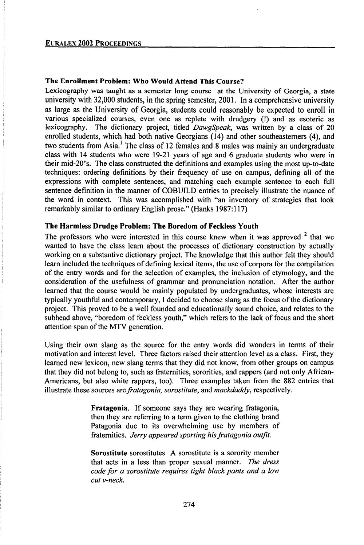#### **The Enrollment Problem: Who Would Attend This Course?**

Lexicography was taught as a semester long course at the University of Georgia, a state university with 32,000 students, in the spring semester, 2001. In a comprehensive university as large as the University of Georgia, students could reasonably be expected to enroll in various specialized courses, even one as replete with drudgery (!) and as esoteric as lexicography. The dictionary project, titled *DawgSpeak,* was written by a class of 20 enrolled students, which had both native Georgians (14) and other southeasterners (4), and two students from Asia.<sup>1</sup> The class of 12 females and 8 males was mainly an undergraduate class with  $14$  students who were  $19-21$  years of age and 6 graduate students who were in their mid-20's. The class constructed the definitions and examples using the most up-to-date techniques: ordering definitions by their frequency of use on campus, defining all of the expressions with complete sentences, and matching each example sentence to each full sentence definition in the manner of COBUILD entries to precisely illustrate the nuance of the word in context. This was accomplished with "an inventory of strategies that look remarkably similar to ordinary English prose." (Hanks 1987:117)

#### **The Harmless Drudge Problem: The Boredom of Feckless Youth**

The professors who were interested in this course knew when it was approved  $2$  that we wanted to have the class learn about the processes of dictionary construction by actually working on a substantive dictionary project. The knowledge that this author felt they should learn included the techniques of defining lexical items, the use of corpora for the compilation of the entry words and for the selection of examples, the inclusion of etymology, and the consideration of the usefumess of grammar and pronunciation notation. After the author learned that the course would be mainly populated by undergraduates, whose interests are typically youthful and contemporary, <sup>I</sup> decided to choose slang as the focus ofthe dictionary project. This proved to be a well founded and educationally sound choice, and relates to the subhead above, "boredom of feckless youth," which refers to the lack of focus and the short attention span of the MTV generation.

Using their own slang as the source for the entry words did wonders in terms of their motivation and interest level. Three factors raised their attention level as a class. First, they learned new lexicon, new slang terms that they did not know, from other groups on campus that they did not belong to, such as fraternities, sororities, and rappers (and not only African-Americans, but also white rappers, too). Three examples taken from the 882 entries that illustrate these sources *arefratagonia, sorostitute,* and *mackdaddy,* respectively.

> **Fratagonia.** If someone says they are wearing fratagonia, then they are referring to a term given to the clothing brand Patagonia due to its overwhelming use by members of fraternities. *Jerry appeared sporting hisfratagonia outfit.*

> **Sorostitute** sorostitutes A sorostitute is a sorority member that acts in a less than proper sexual manner. *The dress code for a sorostitute requires tight black pants and a low cut v-neck.*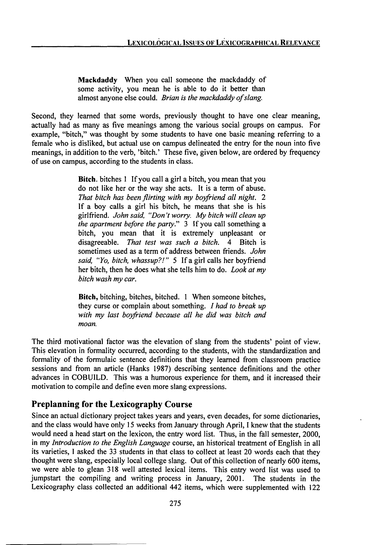**Mackdaddy** When you call someone the mackdaddy of some activity, you mean he is able to do it better than almost anyone else could. *Brian is the mackdaddy ofslang.*

Second, they learned that some words, previously thought to have one clear meaning, actually had as many as five meanings among the various social groups on campus. For example, "bitch," was thought by some students to have one basic meaning referring to a female who is disliked, but actual use on campus delineated the entry for the noun into five meanings, in addition to the verb, 'bitch.' These five, given below, are ordered by frequency of use on campus, according to the students in class.

> **Bitch,** bitches <sup>1</sup> Ifyou call a girl a bitch, you mean that you do not like her or the way she acts. It is a term of abuse. *That bitch has been flirting with my boyfriend all night. 2* If a boy calls a girl his bitch, he means that she is his girlfriend. *Johnsaid, "Don'tworry. Mybitchwillcleanup the apartment before the party."* 3 If you call something a bitch, you mean that it is extremely unpleasant or disagreeable. *That test was such a bitch.* 4 Bitch is sometimes used as a term of address between friends. *John* said, "Yo, bitch, whassup?!" 5 If a girl calls her boyfriend her bitch, then he does what she tells him to do. *Look at my bitch wash my car.*

> **Bitch,** bitching, bitches, bitched. <sup>1</sup> When someone bitches, they curse or complain about something. / *had to break up with my last boyfriend because all he did was bitch and moan.*

The third motivational factor was the elevation of slang from the students' point of view. This elevation in formality occurred, according to the students, with the standardization and formality of the formulaic sentence definitions that they learned from classroom practice sessions and from an article (Hanks 1987) describing sentence definitions and the other advances in COBUILD. This was a humorous experience for them, and it increased their motivation to compile and define even more slang expressions.

## Preplanning for the Lexicography Course

Since an actual dictionary project takes years and years, even decades, for some dictionaries, and the class would have only 15 weeks from January through April, I knew that the students would need a head start on the lexicon, the entry word list. Thus, in the fall semester, 2000, in my *Introduction to the English Language* course, an historical treatment of English in all its varieties, I asked the 33 students in that class to collect at least 20 words each that they thought were slang, especially local college slang. Out of this collection of nearly 600 items, we were able to glean 318 well attested lexical items. This entry word list was used to jumpstart the compiling and writing process in January, 2001. The students in the Lexicography class collected an additional 442 items, which were supplemented with 122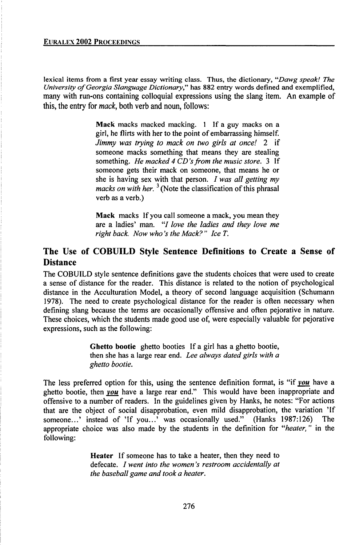lexical items from a first year essay writing class. Thus, the dictionary, *"Dawg speak! The University ofGeorgia Slanguage Dictionary,"* has 882 entry words defined and exemplified, many with run-ons containing colloquial expressions using the slang item. An example of this, the entry for *mack,* both verb and noun, follows:

> **Mack** macks macked macking. <sup>1</sup> If a guy macks on a girl, he flirts with her to the point of embarrassing himself. *Jimmy was trying to mack on two girls at once! 2* if someone macks something that means they are stealing something. *He macked 4 CD's from the music store*. 3 If someone gets their mack on someone, that means he or she is having sex with that person. *I was all getting my macks on with her.* <sup>3</sup> (Note the classification of this phrasal verb as a verb.)

> **Mack** macks If you call someone a mack, you mean they are a ladies' man. "/ *love the ladies and they love me right back. Now who 's the Mack? " Ice T.*

# The Use of COBUILD Style Sentence Definitions to Create a Sense of **Distance**

The COBUILD style sentence definitions gave the students choices that were used to create a sense of distance for the reader. This distance is related to the notion of psychological distance in the Acculturation Model, a theory of second language acquisition (Schumann 1978). The need to create psychological distance for the reader is often necessary when defining slang because the terms are occasionally offensive and often pejorative in nature. These choices, which the students made good use of, were especially valuable for pejorative expressions, such as the following:

> **Ghetto bootie** ghetto booties If a girl has a ghetto bootie, then she has a large rear end. *Lee always dated girls with a ghetto bootie.*

The less preferred option for this, using the sentence definition format, is "if *vou* have a ghetto bootie, then *you* have a large rear end." This would have been inappropriate and offensive to a number of readers. In the guidelines given by Hanks, he notes: "For actions that are the object of social disapprobation, even mild disapprobation, the variation 'If<br>someone constant of 'If you constant and the variant of the someone constant of 'If you constant was occasionally used." (Hanks 1987 someone...' instead of 'If you...' was occasionally used." (Hanks  $1987:126$ ) appropriate choice was also made by the students in the definition for *ilheater, "* in the following:

> **Heater** If someone has to take a heater, then they need to defecate. / *went into the women 's restroom accidentally at the baseball game and took a heater.*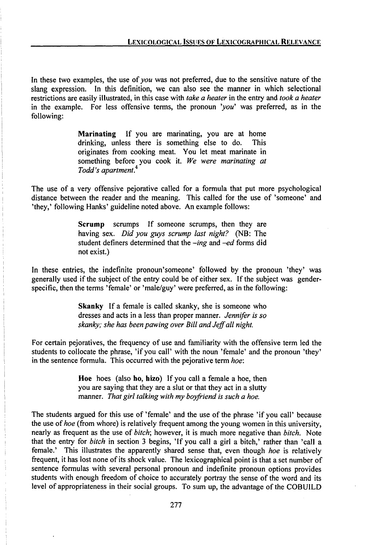In these two examples, the use of you was not preferred, due to the sensitive nature of the slang expression. In this definition, we can also see the manner in which selectional restrictions are easily illustrated, in this case with *take a heater* in the entry and *took a heater* in the example. For less offensive terms, the pronoun *'you'* was preferred, as in the following:

> **Marinating** If you are marinating, you are at home drinking, unless there is something else to do. This originates from cooking meat. You let meat marinate in something before you cook it. *We were marinating at Todd's apartment.*

The use of a very offensive pejorative called for a formula that put more psychological distance between the reader and the meaning. This called for the use of 'someone' and 'they,' following Hanks' guideline noted above. An example follows:

> **Scrump** scrumps If someone scrumps, then they are having sex. *Did you guys scrump last night?* (NB- The student definers determined that the -ing and -ed forms did not exist.)

In these entries, the indefinite pronoun'someone' followed by the pronoun 'they' was generally used if the subject of the entry could be of either sex. If the subject was genderspecific, then the terms 'female' or 'male/guy' were preferred, as in the following:

> **Skanky** If a female is called skanky, she is someone who dresses and acts in a less than proper manner. *Jennifer is so skanky; she has beenpawing over Bill andJeffall night.*

For certain pejoratives, the frequency of use and familiarity with the offensive term led the students to collocate the phrase, 'ifyou call' with the noun 'female' and the pronoun 'they' in the sentence formula. This occurred with the pejorative term *hoe:*

> **Hoe** hoes (also ho, hizo) If you call a female a hoe, then you are saying that they are a slut or that they act in a slutty manner. *That girl talking with my boyfriend is such a hoe.*

The students argued for this use of 'female' and the use of the phrase 'if you call' because the use *ofhoe* (from whore) is relatively frequent among the young women in this university, nearly as frequent as the use of *bitch;* however, it is much more negative than *bitch.* Note that the entry for *bitch* in section 3 begins, 'Ifyou call a girl a bitch,' rather than 'call a female.' This illustrates the apparently shared sense that, even though *hoe* is relatively frequent, it has lost none of its shock value. The lexicographical point is that a set number of sentence formulas with several personal pronoun and indefinite pronoun options provides students with enough freedom of choice to accurately portray the sense of the word and its level of appropriateness in their social groups. To sum up, the advantage of the COBUILD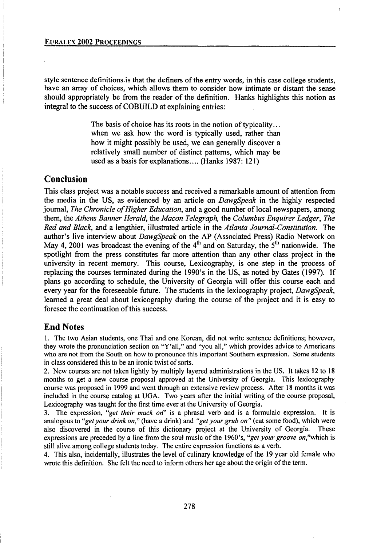style sentence definitions is that the definers of the entry words, in this case college students, have an array of choices, which allows them to consider how intimate or distant the sense should appropriately be from the reader of the definition. Hanks highlights this notion as integral to the success of COBUILD at explaining entries:

f,

The basis of choice has its roots in the notion of typicality... when we ask how the word is typically used, rather than how it might possibly be used, we can generally discover a relatively small number of distinct patterns, which may be used as a basis for explanations.... (Hanks 1987: 121)

### Conclusion

This class project was a notable success and received a remarkable amount of attention from the media in the US, as evidenced by an article on *DawgSpeak* in the highly respected journal, *The Chronicle of Higher Education*, and a good number of local newspapers, among them, the *Athens Banner Herald,* the *Macon Telegraph,* the *Columbus Enquirer Ledger, The Red and Black,* and a lengthier, illustrated article in the *Atlanta Journal-Constitution.* The author's live interview about *DawgSpeak* on the AP (Associated Press) Radio Network on May 4, 2001 was broadcast the evening of the 4<sup>th</sup> and on Saturday, the 5<sup>th</sup> nationwide. The spotlight from the press constitutes far more attention than any other class project in the university in recent memory. This course, Lexicography, is one step in the process of replacing the courses terminated during the 1990's in the US, as noted by Gates (1997). If plans go according to schedule, the University of Georgia will offer this course each and every year for the foreseeable future. The students in the lexicography project, *DawgSpeak,* learned a great deal about lexicography during the course of the project and it is easy to foresee the continuation of this success.

### End Notes

1. The two Asian students, one Thai and one Korean, did not write sentence definitions; however, they wrote the pronunciation section on "Y'all," and "you all," which provides advice to Americans who are not from the South on how to pronounce this important Southern expression. Some students in class considered this to be an ironic twist of sorts.

2. New courses are not taken lightly by multiply layered administrations in the US. It takes 12 to 18 months to get a new course proposal approved at the University of Georgia. This lexicography course was proposed in 1999 and went through an extensive review process. After 18 months it was included in the course catalog at UGA. Two years after the initial writing of the course proposal, Lexicography was taught for the first time ever at the University of Georgia.

3. The expression, *"get their mack on"* is a phrasal verb and is a formulaic expression. It is analogous to *"getyour drink on,"* (have a drink) and *"getyourgrub on"* (eat some food), which were also discovered in the course of this dictionary project at the University of Georgia. These expressions are preceded by a line from the soul music of the 1960's, "get your groove on,"which is still alive among college students today. The entire expression functions as a verb.

4. This also, incidentally, illustrates the level of culinary knowledge of the 19 year old female who wrote this definition. She felt the need to inform others her age about the origin of the term.